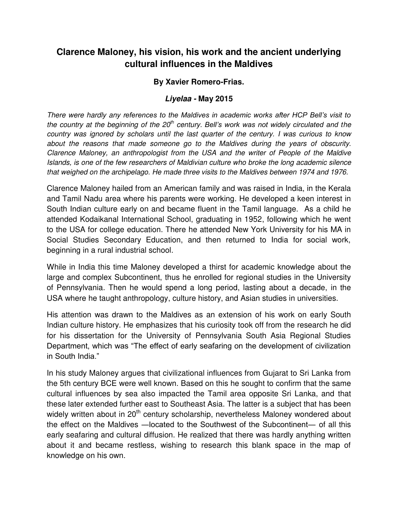## **Clarence Maloney, his vision, his work and the ancient underlying cultural influences in the Maldives**

## **By Xavier Romero-Frias.**

## *Liyelaa -* **May 2015**

*There were hardly any references to the Maldives in academic works after HCP Bell's visit to the country at the beginning of the 20th century. Bell's work was not widely circulated and the country was ignored by scholars until the last quarter of the century. I was curious to know about the reasons that made someone go to the Maldives during the years of obscurity. Clarence Maloney, an anthropologist from the USA and the writer of People of the Maldive Islands, is one of the few researchers of Maldivian culture who broke the long academic silence that weighed on the archipelago. He made three visits to the Maldives between 1974 and 1976.* 

Clarence Maloney hailed from an American family and was raised in India, in the Kerala and Tamil Nadu area where his parents were working. He developed a keen interest in South Indian culture early on and became fluent in the Tamil language. As a child he attended Kodaikanal International School, graduating in 1952, following which he went to the USA for college education. There he attended New York University for his MA in Social Studies Secondary Education, and then returned to India for social work, beginning in a rural industrial school.

While in India this time Maloney developed a thirst for academic knowledge about the large and complex Subcontinent, thus he enrolled for regional studies in the University of Pennsylvania. Then he would spend a long period, lasting about a decade, in the USA where he taught anthropology, culture history, and Asian studies in universities.

His attention was drawn to the Maldives as an extension of his work on early South Indian culture history. He emphasizes that his curiosity took off from the research he did for his dissertation for the University of Pennsylvania South Asia Regional Studies Department, which was "The effect of early seafaring on the development of civilization in South India."

In his study Maloney argues that civilizational influences from Gujarat to Sri Lanka from the 5th century BCE were well known. Based on this he sought to confirm that the same cultural influences by sea also impacted the Tamil area opposite Sri Lanka, and that these later extended further east to Southeast Asia. The latter is a subject that has been widely written about in 20<sup>th</sup> century scholarship, nevertheless Maloney wondered about the effect on the Maldives ―located to the Southwest of the Subcontinent― of all this early seafaring and cultural diffusion. He realized that there was hardly anything written about it and became restless, wishing to research this blank space in the map of knowledge on his own.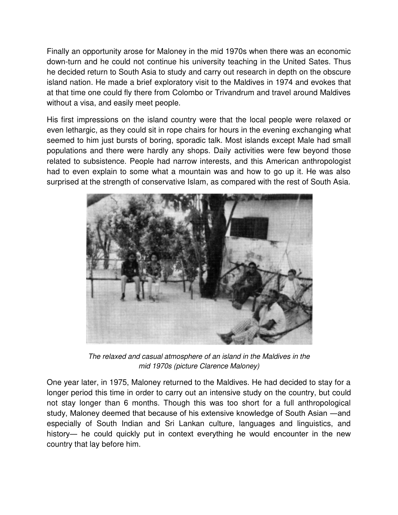Finally an opportunity arose for Maloney in the mid 1970s when there was an economic down-turn and he could not continue his university teaching in the United Sates. Thus he decided return to South Asia to study and carry out research in depth on the obscure island nation. He made a brief exploratory visit to the Maldives in 1974 and evokes that at that time one could fly there from Colombo or Trivandrum and travel around Maldives without a visa, and easily meet people.

His first impressions on the island country were that the local people were relaxed or even lethargic, as they could sit in rope chairs for hours in the evening exchanging what seemed to him just bursts of boring, sporadic talk. Most islands except Male had small populations and there were hardly any shops. Daily activities were few beyond those related to subsistence. People had narrow interests, and this American anthropologist had to even explain to some what a mountain was and how to go up it. He was also surprised at the strength of conservative Islam, as compared with the rest of South Asia.



*The relaxed and casual atmosphere of an island in the Maldives in the mid 1970s (picture Clarence Maloney)* 

One year later, in 1975, Maloney returned to the Maldives. He had decided to stay for a longer period this time in order to carry out an intensive study on the country, but could not stay longer than 6 months. Though this was too short for a full anthropological study, Maloney deemed that because of his extensive knowledge of South Asian ―and especially of South Indian and Sri Lankan culture, languages and linguistics, and history— he could quickly put in context everything he would encounter in the new country that lay before him.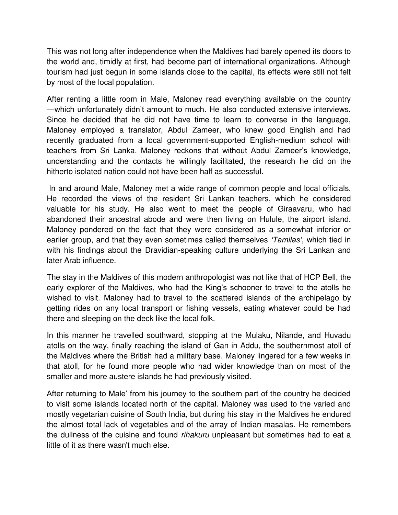This was not long after independence when the Maldives had barely opened its doors to the world and, timidly at first, had become part of international organizations. Although tourism had just begun in some islands close to the capital, its effects were still not felt by most of the local population.

After renting a little room in Male, Maloney read everything available on the country ―which unfortunately didn't amount to much. He also conducted extensive interviews. Since he decided that he did not have time to learn to converse in the language, Maloney employed a translator, Abdul Zameer, who knew good English and had recently graduated from a local government-supported English-medium school with teachers from Sri Lanka. Maloney reckons that without Abdul Zameer's knowledge, understanding and the contacts he willingly facilitated, the research he did on the hitherto isolated nation could not have been half as successful.

 In and around Male, Maloney met a wide range of common people and local officials. He recorded the views of the resident Sri Lankan teachers, which he considered valuable for his study. He also went to meet the people of Giraavaru, who had abandoned their ancestral abode and were then living on Hulule, the airport island. Maloney pondered on the fact that they were considered as a somewhat inferior or earlier group, and that they even sometimes called themselves *'Tamilas'*, which tied in with his findings about the Dravidian-speaking culture underlying the Sri Lankan and later Arab influence.

The stay in the Maldives of this modern anthropologist was not like that of HCP Bell, the early explorer of the Maldives, who had the King's schooner to travel to the atolls he wished to visit. Maloney had to travel to the scattered islands of the archipelago by getting rides on any local transport or fishing vessels, eating whatever could be had there and sleeping on the deck like the local folk.

In this manner he travelled southward, stopping at the Mulaku, Nilande, and Huvadu atolls on the way, finally reaching the island of Gan in Addu, the southernmost atoll of the Maldives where the British had a military base. Maloney lingered for a few weeks in that atoll, for he found more people who had wider knowledge than on most of the smaller and more austere islands he had previously visited.

After returning to Male' from his journey to the southern part of the country he decided to visit some islands located north of the capital. Maloney was used to the varied and mostly vegetarian cuisine of South India, but during his stay in the Maldives he endured the almost total lack of vegetables and of the array of Indian masalas. He remembers the dullness of the cuisine and found *rihakuru* unpleasant but sometimes had to eat a little of it as there wasn't much else.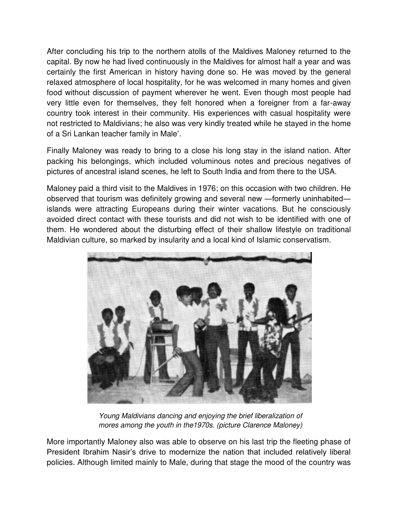After concluding his trip to the northern atolls of the Maldives Maloney returned to the capital. By now he had lived continuously in the Maldives for almost half a year and was certainly the first American in history having done so. He was moved by the general relaxed atmosphere of local hospitality, for he was welcomed in many homes and given food without discussion of payment wherever he went. Even though most people had very little even for themselves, they felt honored when a foreigner from a far-away country took interest in their community. His experiences with casual hospitality were not restricted to Maldivians; he also was very kindly treated while he stayed in the home of a Sri Lankan teacher family in Male'.

Finally Maloney was ready to bring to a close his long stay in the island nation. After packing his belongings, which included voluminous notes and precious negatives of pictures of ancestral island scenes, he left to South India and from there to the USA.

Maloney paid a third visit to the Maldives in 1976; on this occasion with two children. He observed that tourism was definitely growing and several new ―formerly uninhabited― islands were attracting Europeans during their winter vacations. But he consciously avoided direct contact with these tourists and did not wish to be identified with one of them. He wondered about the disturbing effect of their shallow lifestyle on traditional Maldivian culture, so marked by insularity and a local kind of Islamic conservatism.



*Young Maldivians dancing and enjoying the brief liberalization of mores among the youth in the1970s. (picture Clarence Maloney)* 

More importantly Maloney also was able to observe on his last trip the fleeting phase of President Ibrahim Nasir's drive to modernize the nation that included relatively liberal policies. Although limited mainly to Male, during that stage the mood of the country was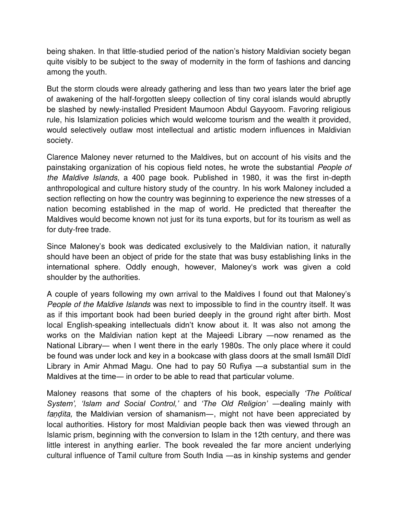being shaken. In that little-studied period of the nation's history Maldivian society began quite visibly to be subject to the sway of modernity in the form of fashions and dancing among the youth.

But the storm clouds were already gathering and less than two years later the brief age of awakening of the half-forgotten sleepy collection of tiny coral islands would abruptly be slashed by newly-installed President Maumoon Abdul Gayyoom. Favoring religious rule, his Islamization policies which would welcome tourism and the wealth it provided, would selectively outlaw most intellectual and artistic modern influences in Maldivian society.

Clarence Maloney never returned to the Maldives, but on account of his visits and the painstaking organization of his copious field notes, he wrote the substantial *People of the Maldive Islands*, a 400 page book. Published in 1980, it was the first in-depth anthropological and culture history study of the country. In his work Maloney included a section reflecting on how the country was beginning to experience the new stresses of a nation becoming established in the map of world. He predicted that thereafter the Maldives would become known not just for its tuna exports, but for its tourism as well as for duty-free trade.

Since Maloney's book was dedicated exclusively to the Maldivian nation, it naturally should have been an object of pride for the state that was busy establishing links in the international sphere. Oddly enough, however, Maloney's work was given a cold shoulder by the authorities.

A couple of years following my own arrival to the Maldives I found out that Maloney's *People of the Maldive Islands* was next to impossible to find in the country itself. It was as if this important book had been buried deeply in the ground right after birth. Most local English-speaking intellectuals didn't know about it. It was also not among the works on the Maldivian nation kept at the Majeedi Library ―now renamed as the National Library― when I went there in the early 1980s. The only place where it could be found was under lock and key in a bookcase with glass doors at the small Ismāīl Dīdī Library in Amir Ahmad Magu. One had to pay 50 Rufiya ―a substantial sum in the Maldives at the time― in order to be able to read that particular volume.

Maloney reasons that some of the chapters of his book, especially *'The Political System', 'Islam and Social Control,'* and *'The Old Religion'* ―dealing mainly with *faṇḍita,* the Maldivian version of shamanism―, might not have been appreciated by local authorities. History for most Maldivian people back then was viewed through an Islamic prism, beginning with the conversion to Islam in the 12th century, and there was little interest in anything earlier. The book revealed the far more ancient underlying cultural influence of Tamil culture from South India ―as in kinship systems and gender